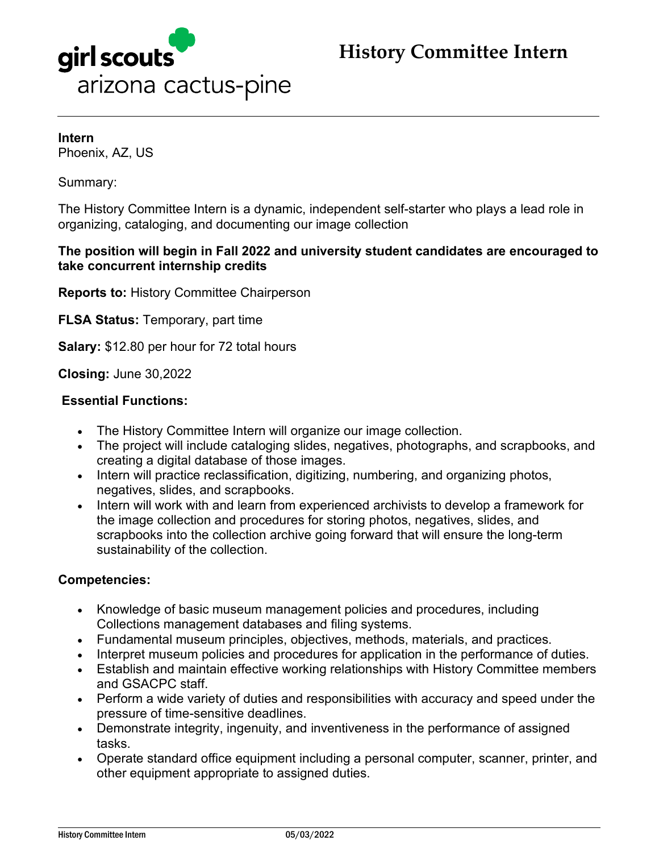



**Intern** Phoenix, AZ, US

Summary:

The History Committee Intern is a dynamic, independent self-starter who plays a lead role in organizing, cataloging, and documenting our image collection

#### **The position will begin in Fall 2022 and university student candidates are encouraged to take concurrent internship credits**

**Reports to:** History Committee Chairperson

**FLSA Status:** Temporary, part time

**Salary:** \$12.80 per hour for 72 total hours

**Closing:** June 30,2022

#### **Essential Functions:**

- The History Committee Intern will organize our image collection.
- The project will include cataloging slides, negatives, photographs, and scrapbooks, and creating a digital database of those images.
- Intern will practice reclassification, digitizing, numbering, and organizing photos, negatives, slides, and scrapbooks.
- Intern will work with and learn from experienced archivists to develop a framework for the image collection and procedures for storing photos, negatives, slides, and scrapbooks into the collection archive going forward that will ensure the long-term sustainability of the collection.

#### **Competencies:**

- Knowledge of basic museum management policies and procedures, including Collections management databases and filing systems.
- Fundamental museum principles, objectives, methods, materials, and practices.
- Interpret museum policies and procedures for application in the performance of duties.
- Establish and maintain effective working relationships with History Committee members and GSACPC staff.
- Perform a wide variety of duties and responsibilities with accuracy and speed under the pressure of time-sensitive deadlines.
- Demonstrate integrity, ingenuity, and inventiveness in the performance of assigned tasks.
- Operate standard office equipment including a personal computer, scanner, printer, and other equipment appropriate to assigned duties.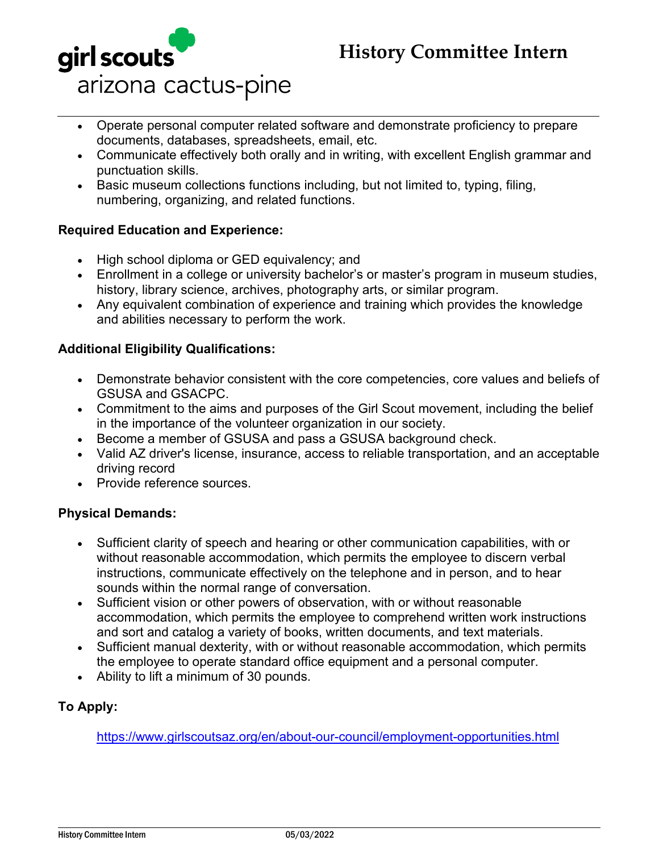## **History Committee Intern**



- Operate personal computer related software and demonstrate proficiency to prepare documents, databases, spreadsheets, email, etc.
- Communicate effectively both orally and in writing, with excellent English grammar and punctuation skills.
- Basic museum collections functions including, but not limited to, typing, filing, numbering, organizing, and related functions.

#### **Required Education and Experience:**

- High school diploma or GED equivalency; and
- Enrollment in a college or university bachelor's or master's program in museum studies, history, library science, archives, photography arts, or similar program.
- Any equivalent combination of experience and training which provides the knowledge and abilities necessary to perform the work.

### **Additional Eligibility Qualifications:**

- Demonstrate behavior consistent with the core competencies, core values and beliefs of GSUSA and GSACPC.
- Commitment to the aims and purposes of the Girl Scout movement, including the belief in the importance of the volunteer organization in our society.
- Become a member of GSUSA and pass a GSUSA background check.
- Valid AZ driver's license, insurance, access to reliable transportation, and an acceptable driving record
- Provide reference sources.

#### **Physical Demands:**

- Sufficient clarity of speech and hearing or other communication capabilities, with or without reasonable accommodation, which permits the employee to discern verbal instructions, communicate effectively on the telephone and in person, and to hear sounds within the normal range of conversation.
- Sufficient vision or other powers of observation, with or without reasonable accommodation, which permits the employee to comprehend written work instructions and sort and catalog a variety of books, written documents, and text materials.
- Sufficient manual dexterity, with or without reasonable accommodation, which permits the employee to operate standard office equipment and a personal computer.
- Ability to lift a minimum of 30 pounds.

### **To Apply:**

<https://www.girlscoutsaz.org/en/about-our-council/employment-opportunities.html>